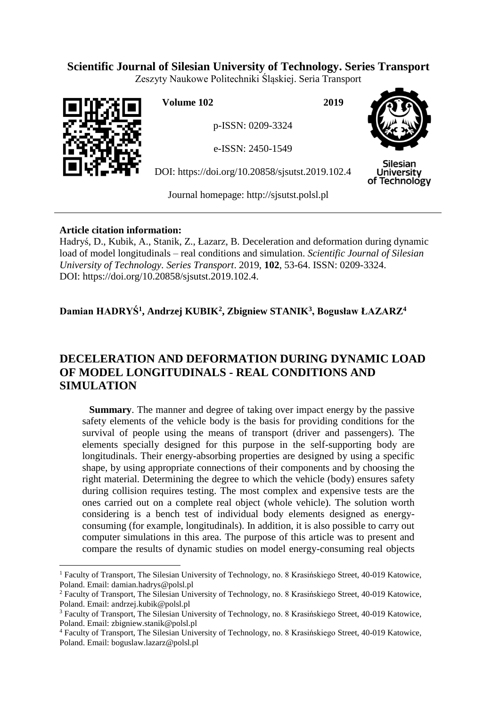## **Scientific Journal of Silesian University of Technology. Series Transport**

Zeszyty Naukowe Politechniki Śląskiej. Seria Transport



 $\overline{a}$ 

**Volume 102 2019**

p-ISSN: 0209-3324

e-ISSN: 2450-1549

DOI: https://doi.org/10.20858/sjsutst.2019.102.4



**Silesian University** of Technology

Journal homepage: [http://sjsutst.polsl.pl](http://sjsutst.polsl.pl/)

## **Article citation information:**

Hadryś, D., Kubik, A., Stanik, Z., Łazarz, B. Deceleration and deformation during dynamic load of model longitudinals – real conditions and simulation. *Scientific Journal of Silesian University of Technology. Series Transport*. 2019, **102**, 53-64. ISSN: 0209-3324. DOI: https://doi.org/10.20858/sjsutst.2019.102.4.

**Damian HADRYŚ<sup>1</sup> , Andrzej KUBIK<sup>2</sup> , Zbigniew STANIK<sup>3</sup> , Bogusław ŁAZARZ<sup>4</sup>**

# **DECELERATION AND DEFORMATION DURING DYNAMIC LOAD OF MODEL LONGITUDINALS - REAL CONDITIONS AND SIMULATION**

**Summary**. The manner and degree of taking over impact energy by the passive safety elements of the vehicle body is the basis for providing conditions for the survival of people using the means of transport (driver and passengers). The elements specially designed for this purpose in the self-supporting body are longitudinals. Their energy-absorbing properties are designed by using a specific shape, by using appropriate connections of their components and by choosing the right material. Determining the degree to which the vehicle (body) ensures safety during collision requires testing. The most complex and expensive tests are the ones carried out on a complete real object (whole vehicle). The solution worth considering is a bench test of individual body elements designed as energyconsuming (for example, longitudinals). In addition, it is also possible to carry out computer simulations in this area. The purpose of this article was to present and compare the results of dynamic studies on model energy-consuming real objects

<sup>1</sup> Faculty of Transport, The Silesian University of Technology, no. 8 Krasińskiego Street, 40-019 Katowice, Poland. Email: damian.hadrys@polsl.pl

<sup>2</sup> Faculty of Transport, The Silesian University of Technology, no. 8 Krasińskiego Street, 40-019 Katowice, Poland. Email: andrzej.kubik@polsl.pl

<sup>&</sup>lt;sup>3</sup> Faculty of Transport, The Silesian University of Technology, no. 8 Krasińskiego Street, 40-019 Katowice, Poland. Email: zbigniew.stanik@polsl.pl

<sup>4</sup> Faculty of Transport, The Silesian University of Technology, no. 8 Krasińskiego Street, 40-019 Katowice, Poland. Email: boguslaw.lazarz@polsl.pl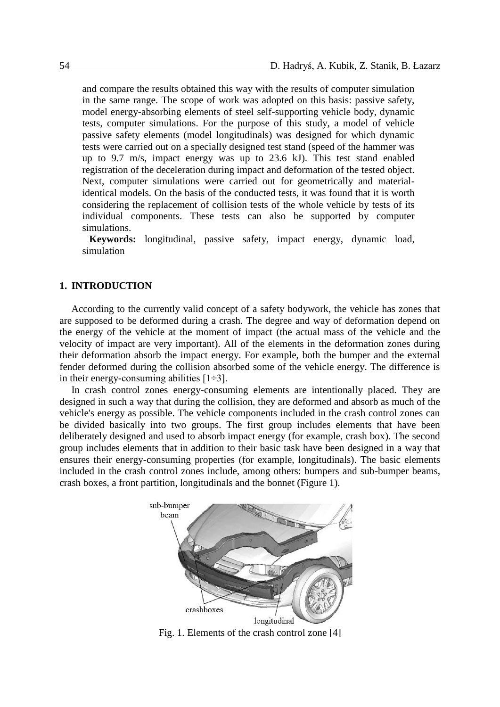and compare the results obtained this way with the results of computer simulation in the same range. The scope of work was adopted on this basis: passive safety, model energy-absorbing elements of steel self-supporting vehicle body, dynamic tests, computer simulations. For the purpose of this study, a model of vehicle passive safety elements (model longitudinals) was designed for which dynamic tests were carried out on a specially designed test stand (speed of the hammer was up to 9.7 m/s, impact energy was up to 23.6 kJ). This test stand enabled registration of the deceleration during impact and deformation of the tested object. Next, computer simulations were carried out for geometrically and materialidentical models. On the basis of the conducted tests, it was found that it is worth considering the replacement of collision tests of the whole vehicle by tests of its individual components. These tests can also be supported by computer simulations.

**Keywords:** longitudinal, passive safety, impact energy, dynamic load, simulation

#### **1. INTRODUCTION**

According to the currently valid concept of a safety bodywork, the vehicle has zones that are supposed to be deformed during a crash. The degree and way of deformation depend on the energy of the vehicle at the moment of impact (the actual mass of the vehicle and the velocity of impact are very important). All of the elements in the deformation zones during their deformation absorb the impact energy. For example, both the bumper and the external fender deformed during the collision absorbed some of the vehicle energy. The difference is in their energy-consuming abilities  $[1\div 3]$ .

In crash control zones energy-consuming elements are intentionally placed. They are designed in such a way that during the collision, they are deformed and absorb as much of the vehicle's energy as possible. The vehicle components included in the crash control zones can be divided basically into two groups. The first group includes elements that have been deliberately designed and used to absorb impact energy (for example, crash box). The second group includes elements that in addition to their basic task have been designed in a way that ensures their energy-consuming properties (for example, longitudinals). The basic elements included in the crash control zones include, among others: bumpers and sub-bumper beams, crash boxes, a front partition, longitudinals and the bonnet (Figure 1).



Fig. 1. Elements of the crash control zone [4]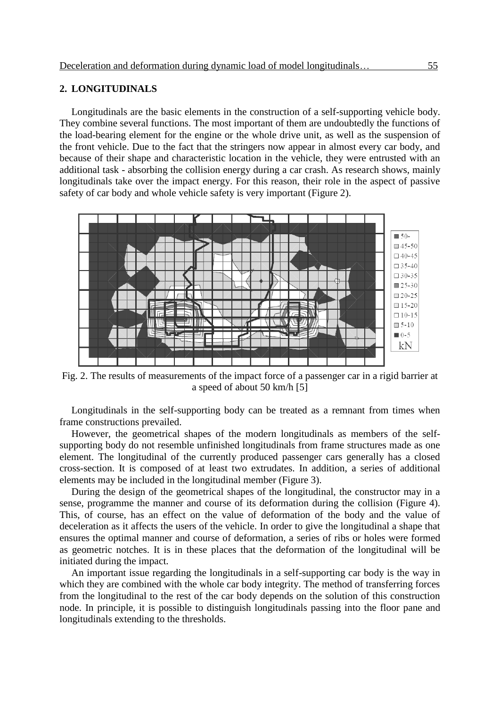### **2. LONGITUDINALS**

Longitudinals are the basic elements in the construction of a self-supporting vehicle body. They combine several functions. The most important of them are undoubtedly the functions of the load-bearing element for the engine or the whole drive unit, as well as the suspension of the front vehicle. Due to the fact that the stringers now appear in almost every car body, and because of their shape and characteristic location in the vehicle, they were entrusted with an additional task - absorbing the collision energy during a car crash. As research shows, mainly longitudinals take over the impact energy. For this reason, their role in the aspect of passive safety of car body and whole vehicle safety is very important (Figure 2).



Fig. 2. The results of measurements of the impact force of a passenger car in a rigid barrier at a speed of about 50 km/h [5]

Longitudinals in the self-supporting body can be treated as a remnant from times when frame constructions prevailed.

However, the geometrical shapes of the modern longitudinals as members of the selfsupporting body do not resemble unfinished longitudinals from frame structures made as one element. The longitudinal of the currently produced passenger cars generally has a closed cross-section. It is composed of at least two extrudates. In addition, a series of additional elements may be included in the longitudinal member (Figure 3).

During the design of the geometrical shapes of the longitudinal, the constructor may in a sense, programme the manner and course of its deformation during the collision (Figure 4). This, of course, has an effect on the value of deformation of the body and the value of deceleration as it affects the users of the vehicle. In order to give the longitudinal a shape that ensures the optimal manner and course of deformation, a series of ribs or holes were formed as geometric notches. It is in these places that the deformation of the longitudinal will be initiated during the impact.

An important issue regarding the longitudinals in a self-supporting car body is the way in which they are combined with the whole car body integrity. The method of transferring forces from the longitudinal to the rest of the car body depends on the solution of this construction node. In principle, it is possible to distinguish longitudinals passing into the floor pane and longitudinals extending to the thresholds.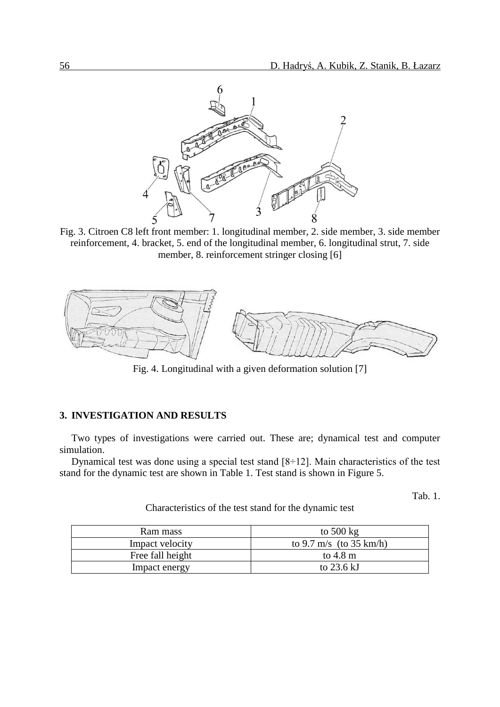

Fig. 3. Citroen C8 left front member: 1. longitudinal member, 2. side member, 3. side member reinforcement, 4. bracket, 5. end of the longitudinal member, 6. longitudinal strut, 7. side member, 8. reinforcement stringer closing [6]



Fig. 4. Longitudinal with a given deformation solution [7]

## **3. INVESTIGATION AND RESULTS**

Two types of investigations were carried out. These are; dynamical test and computer simulation.

Dynamical test was done using a special test stand  $[8 \div 12]$ . Main characteristics of the test stand for the dynamic test are shown in Table 1. Test stand is shown in Figure 5.

Tab. 1.

| Characteristics of the test stand for the dynamic test |  |
|--------------------------------------------------------|--|
|--------------------------------------------------------|--|

| Ram mass         | to $500 \text{ kg}$     |
|------------------|-------------------------|
| Impact velocity  | to 9.7 m/s (to 35 km/h) |
| Free fall height | to $4.8 \text{ m}$      |
| Impact energy    | to $23.6 \mathrm{kJ}$   |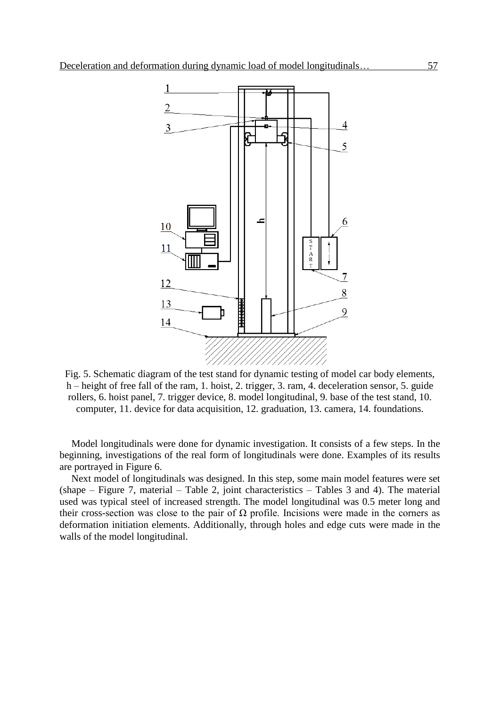

Fig. 5. Schematic diagram of the test stand for dynamic testing of model car body elements, h – height of free fall of the ram, 1. hoist, 2. trigger, 3. ram, 4. deceleration sensor, 5. guide rollers, 6. hoist panel, 7. trigger device, 8. model longitudinal, 9. base of the test stand, 10. computer, 11. device for data acquisition, 12. graduation, 13. camera, 14. foundations.

Model longitudinals were done for dynamic investigation. It consists of a few steps. In the beginning, investigations of the real form of longitudinals were done. Examples of its results are portrayed in Figure 6.

Next model of longitudinals was designed. In this step, some main model features were set (shape – Figure 7, material – Table 2, joint characteristics – Tables 3 and 4). The material used was typical steel of increased strength. The model longitudinal was 0.5 meter long and their cross-section was close to the pair of  $Ω$  profile. Incisions were made in the corners as deformation initiation elements. Additionally, through holes and edge cuts were made in the walls of the model longitudinal.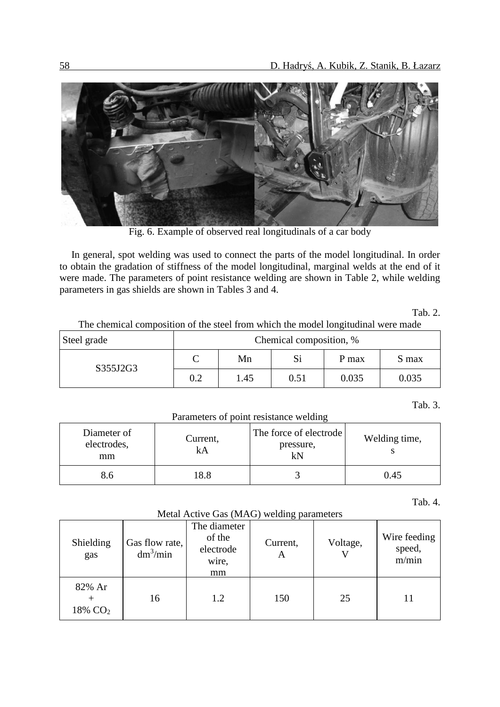

Fig. 6. Example of observed real longitudinals of a car body

In general, spot welding was used to connect the parts of the model longitudinal. In order to obtain the gradation of stiffness of the model longitudinal, marginal welds at the end of it were made. The parameters of point resistance welding are shown in Table 2, while welding parameters in gas shields are shown in Tables 3 and 4.

Tab. 2.

| Steel grade | ັ<br>Chemical composition, % |      |      |       |       |
|-------------|------------------------------|------|------|-------|-------|
| S355J2G3    |                              | Mn   | Si   | P max | S max |
|             | 0.2                          | 1.45 | 0.51 | 0.035 | 0.035 |

# The chemical composition of the steel from which the model longitudinal were made

Tab. 3.

| Parameters of point resistance welding |                |                                           |               |  |  |
|----------------------------------------|----------------|-------------------------------------------|---------------|--|--|
| Diameter of<br>electrodes,<br>mm       | Current,<br>kA | The force of electrode<br>pressure,<br>kN | Welding time, |  |  |
| 8.6                                    | 18.8           |                                           | 0.45          |  |  |

Tab. 4.

Metal Active Gas (MAG) welding parameters

| metal retive one (mirro) weights parameters |                              |                                                    |               |          |                                 |
|---------------------------------------------|------------------------------|----------------------------------------------------|---------------|----------|---------------------------------|
| Shielding<br>gas                            | Gas flow rate,<br>$dm^3/min$ | The diameter<br>of the<br>electrode<br>wire,<br>mm | Current,<br>A | Voltage, | Wire feeding<br>speed,<br>m/min |
| 82% Ar<br>18% CO <sub>2</sub>               | 16                           | 1.2                                                | 150           | 25       | 11                              |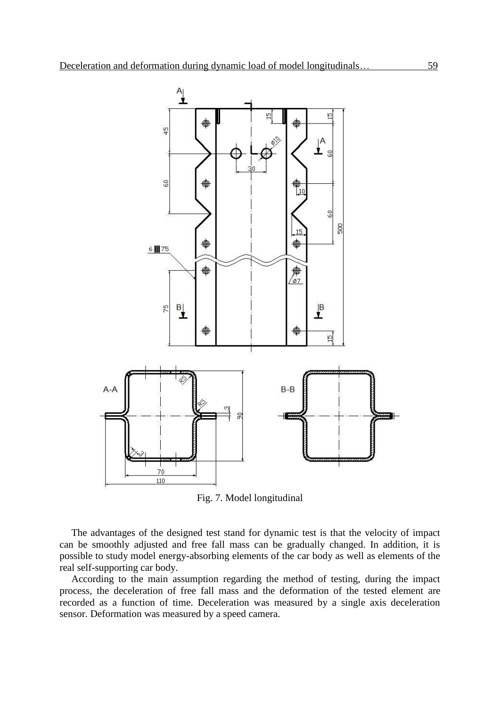

Fig. 7. Model longitudinal

The advantages of the designed test stand for dynamic test is that the velocity of impact can be smoothly adjusted and free fall mass can be gradually changed. In addition, it is possible to study model energy-absorbing elements of the car body as well as elements of the real self-supporting car body.

According to the main assumption regarding the method of testing, during the impact process, the deceleration of free fall mass and the deformation of the tested element are recorded as a function of time. Deceleration was measured by a single axis deceleration sensor. Deformation was measured by a speed camera.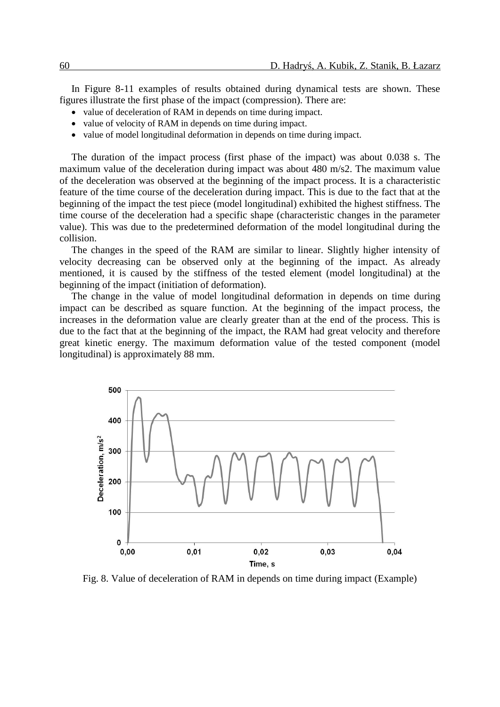In Figure 8-11 examples of results obtained during dynamical tests are shown. These figures illustrate the first phase of the impact (compression). There are:

- value of deceleration of RAM in depends on time during impact.
- value of velocity of RAM in depends on time during impact.
- value of model longitudinal deformation in depends on time during impact.

The duration of the impact process (first phase of the impact) was about 0.038 s. The maximum value of the deceleration during impact was about 480 m/s2. The maximum value of the deceleration was observed at the beginning of the impact process. It is a characteristic feature of the time course of the deceleration during impact. This is due to the fact that at the beginning of the impact the test piece (model longitudinal) exhibited the highest stiffness. The time course of the deceleration had a specific shape (characteristic changes in the parameter value). This was due to the predetermined deformation of the model longitudinal during the collision.

The changes in the speed of the RAM are similar to linear. Slightly higher intensity of velocity decreasing can be observed only at the beginning of the impact. As already mentioned, it is caused by the stiffness of the tested element (model longitudinal) at the beginning of the impact (initiation of deformation).

The change in the value of model longitudinal deformation in depends on time during impact can be described as square function. At the beginning of the impact process, the increases in the deformation value are clearly greater than at the end of the process. This is due to the fact that at the beginning of the impact, the RAM had great velocity and therefore great kinetic energy. The maximum deformation value of the tested component (model longitudinal) is approximately 88 mm.



Fig. 8. Value of deceleration of RAM in depends on time during impact (Example)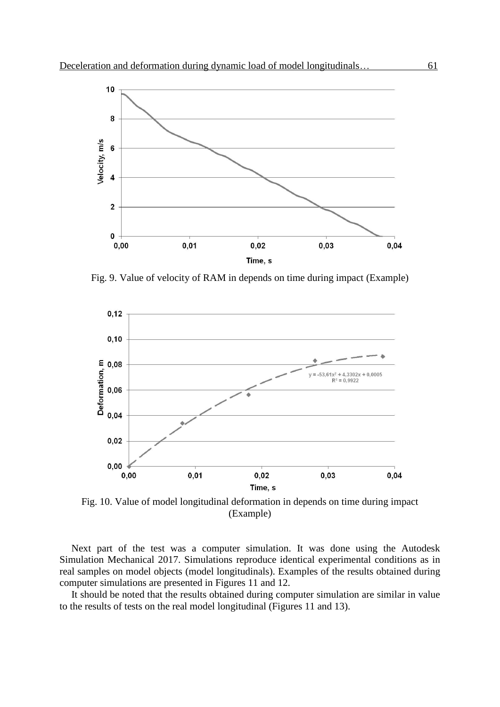

Fig. 9. Value of velocity of RAM in depends on time during impact (Example)



Fig. 10. Value of model longitudinal deformation in depends on time during impact (Example)

Next part of the test was a computer simulation. It was done using the Autodesk Simulation Mechanical 2017. Simulations reproduce identical experimental conditions as in real samples on model objects (model longitudinals). Examples of the results obtained during computer simulations are presented in Figures 11 and 12.

It should be noted that the results obtained during computer simulation are similar in value to the results of tests on the real model longitudinal (Figures 11 and 13).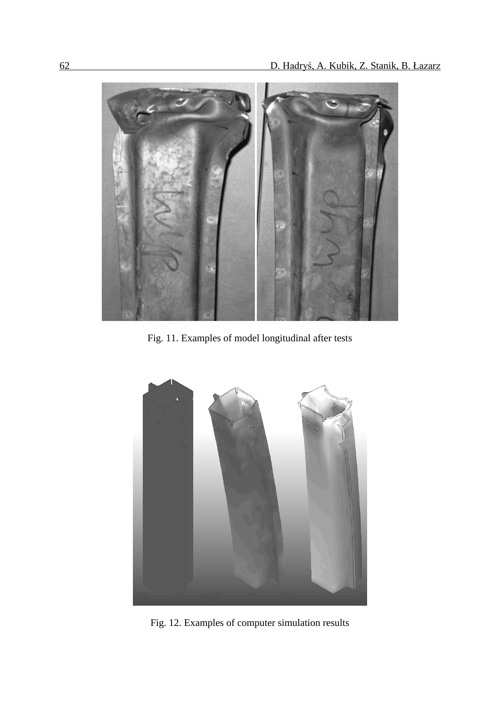

Fig. 11. Examples of model longitudinal after tests



Fig. 12. Examples of computer simulation results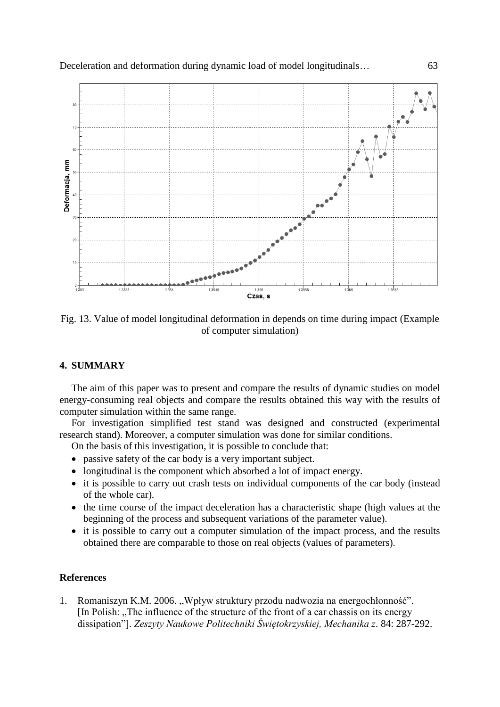

Fig. 13. Value of model longitudinal deformation in depends on time during impact (Example of computer simulation)

## **4. SUMMARY**

The aim of this paper was to present and compare the results of dynamic studies on model energy-consuming real objects and compare the results obtained this way with the results of computer simulation within the same range.

For investigation simplified test stand was designed and constructed (experimental research stand). Moreover, a computer simulation was done for similar conditions.

On the basis of this investigation, it is possible to conclude that:

- passive safety of the car body is a very important subject.
- longitudinal is the component which absorbed a lot of impact energy.
- it is possible to carry out crash tests on individual components of the car body (instead of the whole car).
- the time course of the impact deceleration has a characteristic shape (high values at the beginning of the process and subsequent variations of the parameter value).
- it is possible to carry out a computer simulation of the impact process, and the results obtained there are comparable to those on real objects (values of parameters).

#### **References**

1. Romaniszyn K.M. 2006. "Wpływ struktury przodu nadwozia na energochłonność". [In Polish: The influence of the structure of the front of a car chassis on its energy dissipation"]. *Zeszyty Naukowe Politechniki Świętokrzyskiej, Mechanika z*. 84: 287-292.